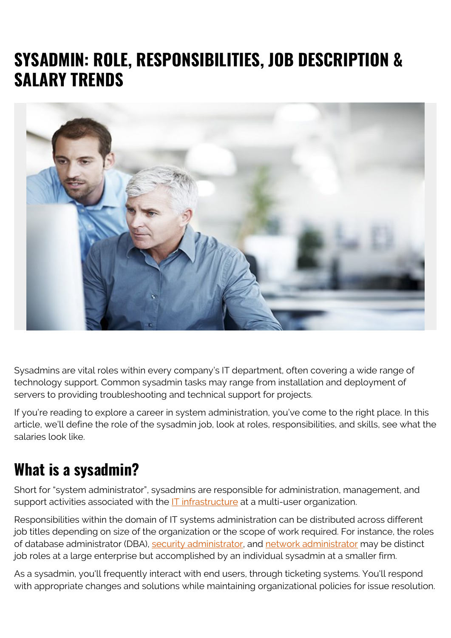# **SYSADMIN: ROLE, RESPONSIBILITIES, JOB DESCRIPTION & SALARY TRENDS**



Sysadmins are vital roles within every company's IT department, often covering a wide range of technology support. Common sysadmin tasks may range from installation and deployment of servers to providing troubleshooting and technical support for projects.

If you're reading to explore a career in system administration, you've come to the right place. In this article, we'll define the role of the sysadmin job, look at roles, responsibilities, and skills, see what the salaries look like.

### **What is a sysadmin?**

Short for "system administrator", sysadmins are responsible for administration, management, and support activities associated with the [IT infrastructure](https://blogs.bmc.com/blogs/what-is-it-infrastructure-and-what-are-its-components/) at a multi-user organization.

Responsibilities within the domain of IT systems administration can be distributed across different job titles depending on size of the organization or the scope of work required. For instance, the roles of database administrator (DBA), [security administrator,](https://blogs.bmc.com/blogs/system-administrator-vs-security-administrator-whats-the-difference/) and [network administrator](https://blogs.bmc.com/blogs/network-engineer-vs-network-administrator-roles-responsibilities-and-job-descriptions/) may be distinct job roles at a large enterprise but accomplished by an individual sysadmin at a smaller firm.

As a sysadmin, you'll frequently interact with end users, through ticketing systems. You'll respond with appropriate changes and solutions while maintaining organizational policies for issue resolution.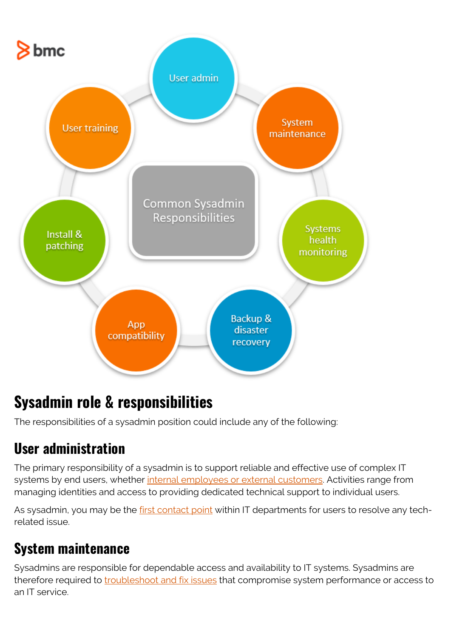

# **Sysadmin role & responsibilities**

The responsibilities of a sysadmin position could include any of the following:

#### **User administration**

The primary responsibility of a sysadmin is to support reliable and effective use of complex IT systems by end users, whether [internal employees or external customers](https://blogs.bmc.com/blogs/internal-vs-external-customers/). Activities range from managing identities and access to providing dedicated technical support to individual users.

As sysadmin, you may be the [first contact point](https://blogs.bmc.com/blogs/first-contact-resolution-for-improved-customer-satisfaction/) within IT departments for users to resolve any techrelated issue.

### **System maintenance**

Sysadmins are responsible for dependable access and availability to IT systems. Sysadmins are therefore required to [troubleshoot and fix issues](https://blogs.bmc.com/blogs/root-cause-analysis/) that compromise system performance or access to an IT service.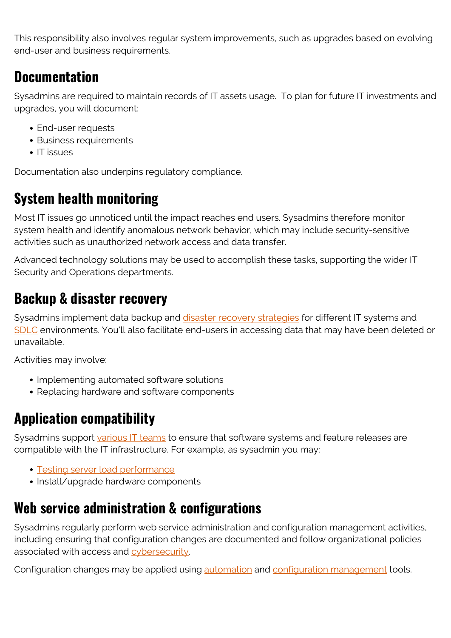This responsibility also involves regular system improvements, such as upgrades based on evolving end-user and business requirements.

#### **Documentation**

Sysadmins are required to maintain records of IT assets usage. To plan for future IT investments and upgrades, you will document:

- End-user requests
- Business requirements
- $\cdot$  IT issues

Documentation also underpins regulatory compliance.

### **System health monitoring**

Most IT issues go unnoticed until the impact reaches end users. Sysadmins therefore monitor system health and identify anomalous network behavior, which may include security-sensitive activities such as unauthorized network access and data transfer.

Advanced technology solutions may be used to accomplish these tasks, supporting the wider IT Security and Operations departments.

#### **Backup & disaster recovery**

Sysadmins implement data backup and [disaster recovery strategies](https://blogs.bmc.com/blogs/cloud-disaster-recovery/) for different IT systems and [SDLC](https://blogs.bmc.com/blogs/sdlc-software-development-lifecycle/) environments. You'll also facilitate end-users in accessing data that may have been deleted or unavailable.

Activities may involve:

- Implementing automated software solutions
- Replacing hardware and software components

#### **Application compatibility**

Sysadmins support [various IT teams](https://blogs.bmc.com/blogs/it-teams/) to ensure that software systems and feature releases are compatible with the IT infrastructure. For example, as sysadmin you may:

- [Testing server load performance](https://blogs.bmc.com/blogs/load-testing-performance-testing-and-stress-testing-explained/)
- Install/upgrade hardware components

#### **Web service administration & configurations**

Sysadmins regularly perform web service administration and configuration management activities, including ensuring that configuration changes are documented and follow organizational policies associated with access and [cybersecurity](https://blogs.bmc.com/blogs/cybersecurity/).

Configuration changes may be applied using **automation** and **configuration** management tools.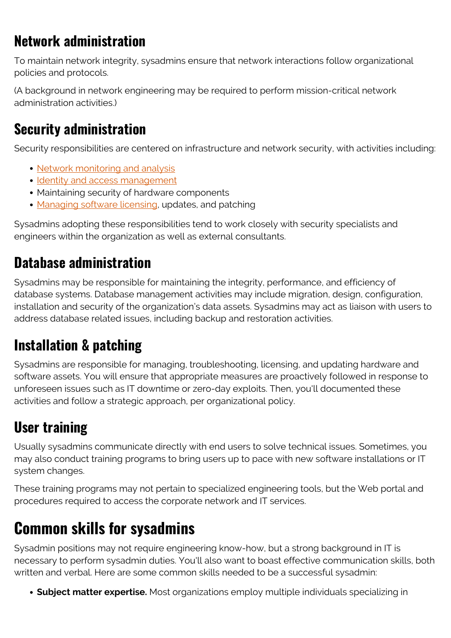### **Network administration**

To maintain network integrity, sysadmins ensure that network interactions follow organizational policies and protocols.

(A background in network engineering may be required to perform mission-critical network administration activities.)

### **Security administration**

Security responsibilities are centered on infrastructure and network security, with activities including:

- [Network monitoring and analysis](https://blogs.bmc.com/blogs/monitoring-logging-tracing/)
- [Identity and access management](https://blogs.bmc.com/blogs/identity-access-management/)
- Maintaining security of hardware components
- [Managing software licensing,](https://blogs.bmc.com/blogs/software-license-management/) updates, and patching

Sysadmins adopting these responsibilities tend to work closely with security specialists and engineers within the organization as well as external consultants.

### **Database administration**

Sysadmins may be responsible for maintaining the integrity, performance, and efficiency of database systems. Database management activities may include migration, design, configuration, installation and security of the organization's data assets. Sysadmins may act as liaison with users to address database related issues, including backup and restoration activities.

### **Installation & patching**

Sysadmins are responsible for managing, troubleshooting, licensing, and updating hardware and software assets. You will ensure that appropriate measures are proactively followed in response to unforeseen issues such as IT downtime or zero-day exploits. Then, you'll documented these activities and follow a strategic approach, per organizational policy.

# **User training**

Usually sysadmins communicate directly with end users to solve technical issues. Sometimes, you may also conduct training programs to bring users up to pace with new software installations or IT system changes.

These training programs may not pertain to specialized engineering tools, but the Web portal and procedures required to access the corporate network and IT services.

# **Common skills for sysadmins**

Sysadmin positions may not require engineering know-how, but a strong background in IT is necessary to perform sysadmin duties. You'll also want to boast effective communication skills, both written and verbal. Here are some common skills needed to be a successful sysadmin:

**Subject matter expertise.** Most organizations employ multiple individuals specializing in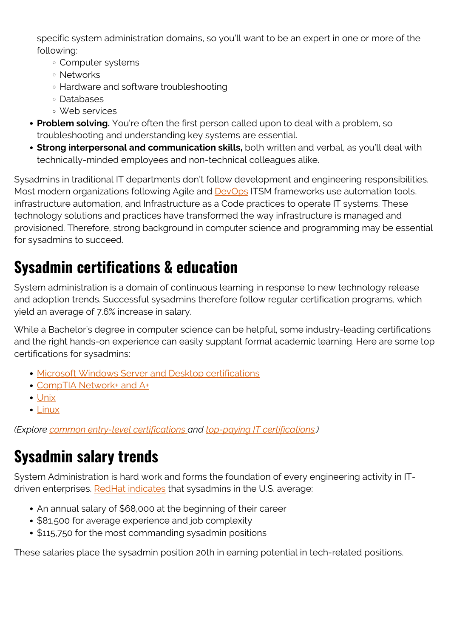specific system administration domains, so you'll want to be an expert in one or more of the following:

- Computer systems
- Networks
- Hardware and software troubleshooting
- Databases
- Web services
- **Problem solving.** You're often the first person called upon to deal with a problem, so troubleshooting and understanding key systems are essential.
- **Strong interpersonal and communication skills,** both written and verbal, as you'll deal with technically-minded employees and non-technical colleagues alike.

Sysadmins in traditional IT departments don't follow development and engineering responsibilities. Most modern organizations following Agile and **DevOps** ITSM frameworks use automation tools, infrastructure automation, and Infrastructure as a Code practices to operate IT systems. These technology solutions and practices have transformed the way infrastructure is managed and provisioned. Therefore, strong background in computer science and programming may be essential for sysadmins to succeed.

# **Sysadmin certifications & education**

System administration is a domain of continuous learning in response to new technology release and adoption trends. Successful sysadmins therefore follow regular certification programs, which yield an average of 7.6% increase in salary.

While a Bachelor's degree in computer science can be helpful, some industry-leading certifications and the right hands-on experience can easily supplant formal academic learning. Here are some top certifications for sysadmins:

- **[Microsoft Windows Server and Desktop certifications](https://www.microsoft.com/en-us/learning/windows-server-training.aspx)**
- [CompTIA Network+ and A+](https://certification.comptia.org/)
- [Unix](https://www.opengroup.org/certifications/unix)
- [Linux](https://training.linuxfoundation.org/certification/)

*(Explore [common entry-level certifications a](https://blogs.bmc.com/blogs/entry-level-it-certifications/)nd [top-paying IT certifications.](https://blogs.bmc.com/blogs/top-paying-it-certifications/))*

# **Sysadmin salary trends**

System Administration is hard work and forms the foundation of every engineering activity in IT-driven enterprises. [RedHat indicates](https://www.redhat.com/sysadmin/salary-income-sysadmin) that sysadmins in the U.S. average:

- An annual salary of \$68,000 at the beginning of their career
- \$81,500 for average experience and job complexity
- **\$115,750 for the most commanding sysadmin positions**

These salaries place the sysadmin position 20th in earning potential in tech-related positions.